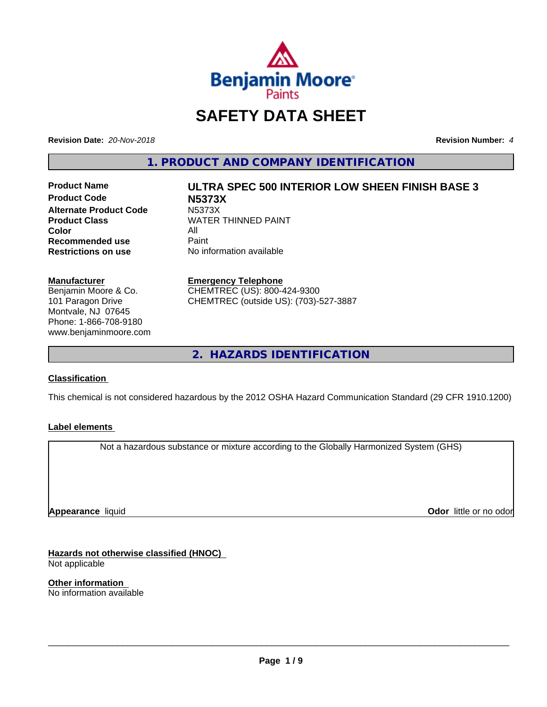

# **SAFETY DATA SHEET**

**Revision Date:** *20-Nov-2018* **Revision Number:** *4*

**1. PRODUCT AND COMPANY IDENTIFICATION**

**Product Code N5373X Alternate Product Code M5373X**<br>Product Class WATER **Color** All<br> **Recommended use** Paint **Recommended use**<br>Restrictions on use

# **Product Name ULTRA SPEC 500 INTERIOR LOW SHEEN FINISH BASE 3 WATER THINNED PAINT**

**No information available** 

## **Manufacturer**

Benjamin Moore & Co. 101 Paragon Drive Montvale, NJ 07645 Phone: 1-866-708-9180 www.benjaminmoore.com

## **Emergency Telephone**

CHEMTREC (US): 800-424-9300 CHEMTREC (outside US): (703)-527-3887

**2. HAZARDS IDENTIFICATION**

# **Classification**

This chemical is not considered hazardous by the 2012 OSHA Hazard Communication Standard (29 CFR 1910.1200)

# **Label elements**

Not a hazardous substance or mixture according to the Globally Harmonized System (GHS)

**Appearance** liquid

**Odor** little or no odor

**Hazards not otherwise classified (HNOC)** Not applicable

**Other information** No information available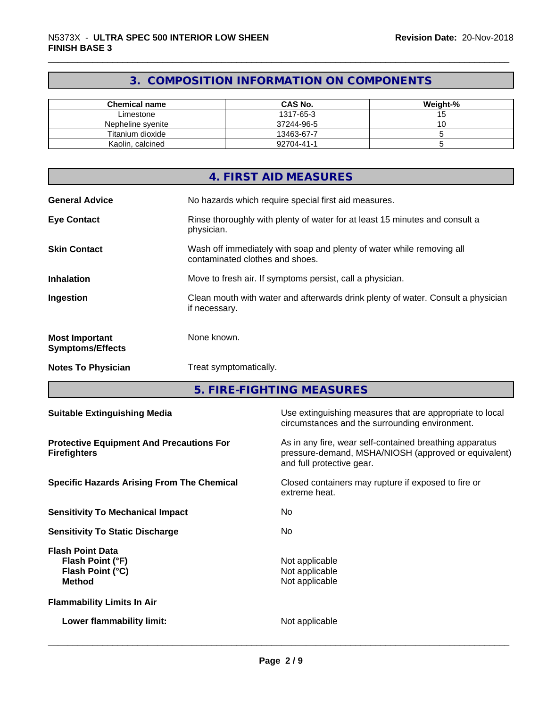# **3. COMPOSITION INFORMATION ON COMPONENTS**

| <b>Chemical name</b> | <b>CAS No.</b> | Weight-% |
|----------------------|----------------|----------|
| Limestone            | 1317-65-3      |          |
| Nepheline svenite    | 37244-96-5     |          |
| Titanium dioxide     | 13463-67-7     |          |
| Kaolin, calcined     | 92704-41-1     |          |

|                                                  | 4. FIRST AID MEASURES                                                                                    |
|--------------------------------------------------|----------------------------------------------------------------------------------------------------------|
| <b>General Advice</b>                            | No hazards which require special first aid measures.                                                     |
| <b>Eye Contact</b>                               | Rinse thoroughly with plenty of water for at least 15 minutes and consult a<br>physician.                |
| <b>Skin Contact</b>                              | Wash off immediately with soap and plenty of water while removing all<br>contaminated clothes and shoes. |
| <b>Inhalation</b>                                | Move to fresh air. If symptoms persist, call a physician.                                                |
| Ingestion                                        | Clean mouth with water and afterwards drink plenty of water. Consult a physician<br>if necessary.        |
| <b>Most Important</b><br><b>Symptoms/Effects</b> | None known.                                                                                              |
| <b>Notes To Physician</b>                        | Treat symptomatically.                                                                                   |

**5. FIRE-FIGHTING MEASURES**

| <b>Suitable Extinguishing Media</b>                                              | Use extinguishing measures that are appropriate to local<br>circumstances and the surrounding environment.                                   |
|----------------------------------------------------------------------------------|----------------------------------------------------------------------------------------------------------------------------------------------|
| <b>Protective Equipment And Precautions For</b><br><b>Firefighters</b>           | As in any fire, wear self-contained breathing apparatus<br>pressure-demand, MSHA/NIOSH (approved or equivalent)<br>and full protective gear. |
| <b>Specific Hazards Arising From The Chemical</b>                                | Closed containers may rupture if exposed to fire or<br>extreme heat.                                                                         |
| <b>Sensitivity To Mechanical Impact</b>                                          | No.                                                                                                                                          |
| <b>Sensitivity To Static Discharge</b>                                           | No.                                                                                                                                          |
| <b>Flash Point Data</b><br>Flash Point (°F)<br>Flash Point (°C)<br><b>Method</b> | Not applicable<br>Not applicable<br>Not applicable                                                                                           |
| <b>Flammability Limits In Air</b>                                                |                                                                                                                                              |
| Lower flammability limit:                                                        | Not applicable                                                                                                                               |
|                                                                                  |                                                                                                                                              |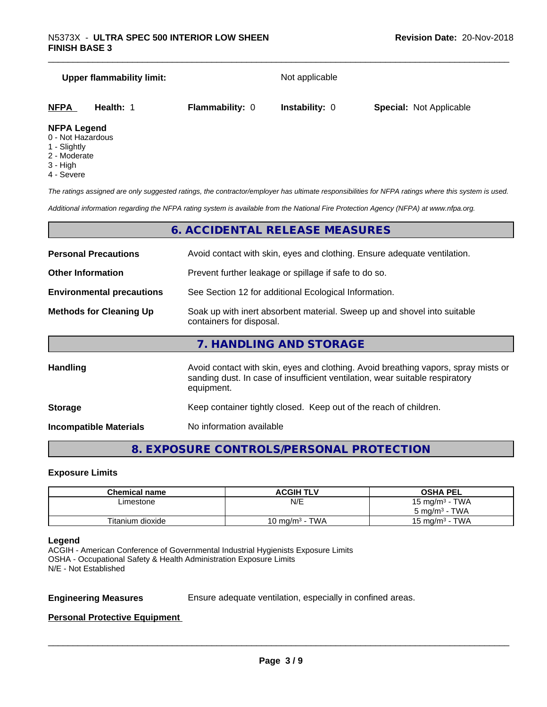# **Upper flammability limit:** Not applicable **NFPA Health:** 1 **Flammability:** 0 **Instability:** 0 **Special:** Not Applicable

- **NFPA Legend** 0 - Not Hazardous
- 1 Slightly
- 2 Moderate
- 3 High
- 4 Severe

*The ratings assigned are only suggested ratings, the contractor/employer has ultimate responsibilities for NFPA ratings where this system is used.*

*Additional information regarding the NFPA rating system is available from the National Fire Protection Agency (NFPA) at www.nfpa.org.*

# **6. ACCIDENTAL RELEASE MEASURES**

| <b>Personal Precautions</b>                                                                                                            | Avoid contact with skin, eyes and clothing. Ensure adequate ventilation.                                                                                                         |  |
|----------------------------------------------------------------------------------------------------------------------------------------|----------------------------------------------------------------------------------------------------------------------------------------------------------------------------------|--|
| <b>Other Information</b>                                                                                                               | Prevent further leakage or spillage if safe to do so.                                                                                                                            |  |
| <b>Environmental precautions</b>                                                                                                       | See Section 12 for additional Ecological Information.                                                                                                                            |  |
| Soak up with inert absorbent material. Sweep up and shovel into suitable<br><b>Methods for Cleaning Up</b><br>containers for disposal. |                                                                                                                                                                                  |  |
|                                                                                                                                        | 7. HANDLING AND STORAGE                                                                                                                                                          |  |
| Handling                                                                                                                               | Avoid contact with skin, eyes and clothing. Avoid breathing vapors, spray mists or<br>sanding dust. In case of insufficient ventilation, wear suitable respiratory<br>equipment. |  |
| <b>Storage</b>                                                                                                                         | Keep container tightly closed. Keep out of the reach of children.                                                                                                                |  |

**Incompatible Materials** No information available

# **8. EXPOSURE CONTROLS/PERSONAL PROTECTION**

# **Exposure Limits**

| <b>Chemical name</b> | <b>ACGIH TLV</b>           | <b>OSHA PEL</b>          |
|----------------------|----------------------------|--------------------------|
| Limestone            | N/E                        | 15 mg/m $3$ - TWA        |
|                      |                            | $5 \text{ mg/m}^3$ - TWA |
| Titanium dioxide     | 10 mg/m <sup>3</sup> - TWA | 15 mg/m $3$ - TWA        |

## **Legend**

ACGIH - American Conference of Governmental Industrial Hygienists Exposure Limits OSHA - Occupational Safety & Health Administration Exposure Limits N/E - Not Established

**Engineering Measures** Ensure adequate ventilation, especially in confined areas.

 $\overline{\phantom{a}}$  ,  $\overline{\phantom{a}}$  ,  $\overline{\phantom{a}}$  ,  $\overline{\phantom{a}}$  ,  $\overline{\phantom{a}}$  ,  $\overline{\phantom{a}}$  ,  $\overline{\phantom{a}}$  ,  $\overline{\phantom{a}}$  ,  $\overline{\phantom{a}}$  ,  $\overline{\phantom{a}}$  ,  $\overline{\phantom{a}}$  ,  $\overline{\phantom{a}}$  ,  $\overline{\phantom{a}}$  ,  $\overline{\phantom{a}}$  ,  $\overline{\phantom{a}}$  ,  $\overline{\phantom{a}}$ 

# **Personal Protective Equipment**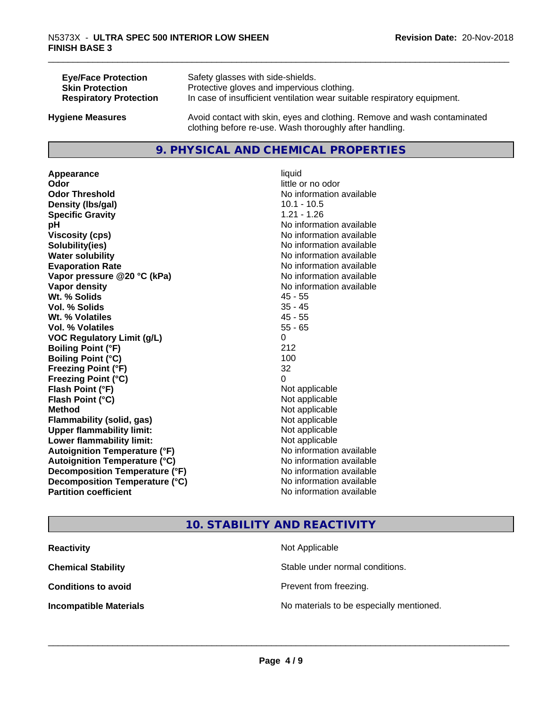| <b>Eye/Face Protection</b>    | Safety glasses with side-shields.                                        |
|-------------------------------|--------------------------------------------------------------------------|
| <b>Skin Protection</b>        | Protective gloves and impervious clothing.                               |
| <b>Respiratory Protection</b> | In case of insufficient ventilation wear suitable respiratory equipment. |
| <b>Hygiene Measures</b>       | Avoid contact with skin, eyes and clothing. Remove and wash contaminated |

clothing before re-use. Wash thoroughly after handling.

# **9. PHYSICAL AND CHEMICAL PROPERTIES**

**Appearance** liquid **Odor** little or no odor **Odor Threshold No information available No information available Density (Ibs/gal)** 10.1 - 10.5 **Specific Gravity** 1.21 - 1.26 **pH** No information available **Viscosity (cps)** No information available **Solubility(ies)** No information available **Water solubility Water solubility Water solubility Water solubility Water solubility Water solution Evaporation Rate No information available No information available Vapor pressure @20 °C (kPa)** No information available **Vapor density No information available Wt. % Solids** 45 - 55 **Vol. % Solids** 35 - 45 **Wt. % Volatiles** 45 - 55 **Vol. % Volatiles** 55 - 65 **VOC Regulatory Limit (g/L)** 0 **Boiling Point (°F)** 212 **Boiling Point (°C)** 100 **Freezing Point (°F)** 32 **Freezing Point (°C)** 0 **Flash Point (°F)**<br> **Flash Point (°C)**<br> **Flash Point (°C)**<br> **Point (°C) Flash Point (°C) Method** Not applicable **Flammability (solid, gas)** Not applicable **Upper flammability limit:** Not applicable **Lower flammability limit:** Not applicable **Autoignition Temperature (°F)** No information available **Autoignition Temperature (°C)** No information available **Decomposition Temperature (°F)**<br> **Decomposition Temperature (°C)**<br>
No information available **Decomposition Temperature (°C)**<br>Partition coefficient

**No information available** 

# **10. STABILITY AND REACTIVITY**

| <b>Reactivity</b>             | Not Applicable                           |
|-------------------------------|------------------------------------------|
| <b>Chemical Stability</b>     | Stable under normal conditions.          |
| <b>Conditions to avoid</b>    | Prevent from freezing.                   |
| <b>Incompatible Materials</b> | No materials to be especially mentioned. |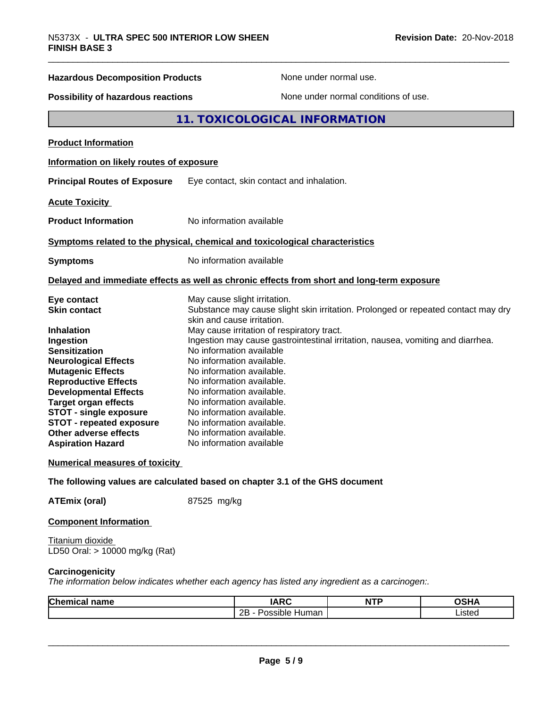| <b>FINISH BASE 3</b>                                                                                                                                                                                                                            |                                                                                                                                                                                                                                                                                                                                           |  |
|-------------------------------------------------------------------------------------------------------------------------------------------------------------------------------------------------------------------------------------------------|-------------------------------------------------------------------------------------------------------------------------------------------------------------------------------------------------------------------------------------------------------------------------------------------------------------------------------------------|--|
| <b>Hazardous Decomposition Products</b>                                                                                                                                                                                                         | None under normal use.                                                                                                                                                                                                                                                                                                                    |  |
| <b>Possibility of hazardous reactions</b>                                                                                                                                                                                                       | None under normal conditions of use.                                                                                                                                                                                                                                                                                                      |  |
|                                                                                                                                                                                                                                                 | 11. TOXICOLOGICAL INFORMATION                                                                                                                                                                                                                                                                                                             |  |
| <b>Product Information</b>                                                                                                                                                                                                                      |                                                                                                                                                                                                                                                                                                                                           |  |
| Information on likely routes of exposure                                                                                                                                                                                                        |                                                                                                                                                                                                                                                                                                                                           |  |
| <b>Principal Routes of Exposure</b>                                                                                                                                                                                                             | Eye contact, skin contact and inhalation.                                                                                                                                                                                                                                                                                                 |  |
| <b>Acute Toxicity</b>                                                                                                                                                                                                                           |                                                                                                                                                                                                                                                                                                                                           |  |
| <b>Product Information</b>                                                                                                                                                                                                                      | No information available                                                                                                                                                                                                                                                                                                                  |  |
|                                                                                                                                                                                                                                                 | Symptoms related to the physical, chemical and toxicological characteristics                                                                                                                                                                                                                                                              |  |
| <b>Symptoms</b>                                                                                                                                                                                                                                 | No information available                                                                                                                                                                                                                                                                                                                  |  |
|                                                                                                                                                                                                                                                 | Delayed and immediate effects as well as chronic effects from short and long-term exposure                                                                                                                                                                                                                                                |  |
| Eye contact<br><b>Skin contact</b><br>Inhalation<br>Ingestion<br><b>Sensitization</b><br><b>Neurological Effects</b>                                                                                                                            | May cause slight irritation.<br>Substance may cause slight skin irritation. Prolonged or repeated contact may dry<br>skin and cause irritation.<br>May cause irritation of respiratory tract.<br>Ingestion may cause gastrointestinal irritation, nausea, vomiting and diarrhea.<br>No information available<br>No information available. |  |
| <b>Mutagenic Effects</b><br><b>Reproductive Effects</b><br><b>Developmental Effects</b><br><b>Target organ effects</b><br><b>STOT - single exposure</b><br><b>STOT - repeated exposure</b><br>Other adverse effects<br><b>Aspiration Hazard</b> | No information available.<br>No information available.<br>No information available.<br>No information available.<br>No information available.<br>No information available.<br>No information available.<br>No information available                                                                                                       |  |
|                                                                                                                                                                                                                                                 |                                                                                                                                                                                                                                                                                                                                           |  |

# **Numerical measures of toxicity**

**The following values are calculated based on chapter 3.1 of the GHS document**

**ATEmix (oral)** 87525 mg/kg

## **Component Information**

Titanium dioxide LD50 Oral: > 10000 mg/kg (Rat)

# **Carcinogenicity**

*The information below indicateswhether each agency has listed any ingredient as a carcinogen:.*

| Chemical<br>name | ADO<br>A<br>IAIN               | <b>NTP</b><br>. | $\sim$ u $\prime$<br>,<br>אווטט |
|------------------|--------------------------------|-----------------|---------------------------------|
|                  | . .<br>クロ<br>Human<br>Possible |                 | .00107<br>Listeu                |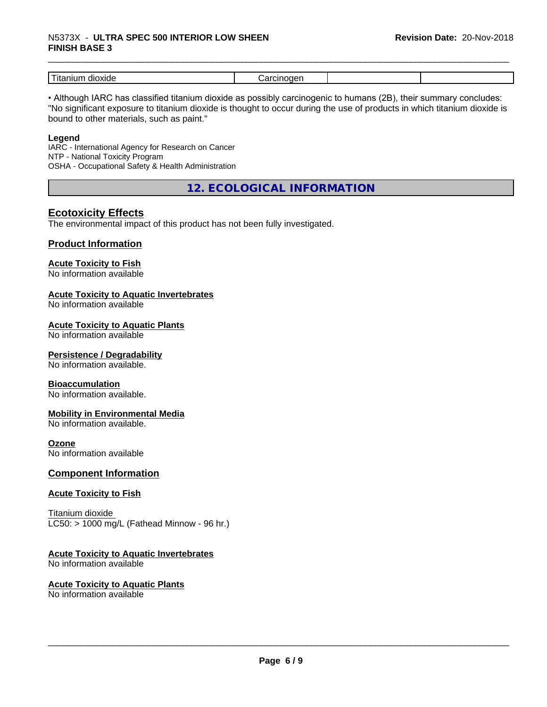# \_\_\_\_\_\_\_\_\_\_\_\_\_\_\_\_\_\_\_\_\_\_\_\_\_\_\_\_\_\_\_\_\_\_\_\_\_\_\_\_\_\_\_\_\_\_\_\_\_\_\_\_\_\_\_\_\_\_\_\_\_\_\_\_\_\_\_\_\_\_\_\_\_\_\_\_\_\_\_\_\_\_\_\_\_\_\_\_\_\_\_\_\_ N5373X - **ULTRA SPEC <sup>500</sup> INTERIOR LOW SHEEN FINISH BASE 3**

| -<br>dioxide<br>---<br>шл<br>1 L c |  |  |
|------------------------------------|--|--|

• Although IARC has classified titanium dioxide as possibly carcinogenic to humans (2B), their summary concludes: "No significant exposure to titanium dioxide is thought to occur during the use of products in which titanium dioxide is bound to other materials, such as paint."

## **Legend**

IARC - International Agency for Research on Cancer NTP - National Toxicity Program OSHA - Occupational Safety & Health Administration

**12. ECOLOGICAL INFORMATION**

# **Ecotoxicity Effects**

The environmental impact of this product has not been fully investigated.

# **Product Information**

# **Acute Toxicity to Fish**

No information available

# **Acute Toxicity to Aquatic Invertebrates**

No information available

# **Acute Toxicity to Aquatic Plants**

No information available

## **Persistence / Degradability**

No information available.

## **Bioaccumulation**

No information available.

## **Mobility in Environmental Media**

No information available.

# **Ozone**

No information available

## **Component Information**

## **Acute Toxicity to Fish**

Titanium dioxide  $LC50:$  > 1000 mg/L (Fathead Minnow - 96 hr.)

## **Acute Toxicity to Aquatic Invertebrates**

No information available

# **Acute Toxicity to Aquatic Plants**

No information available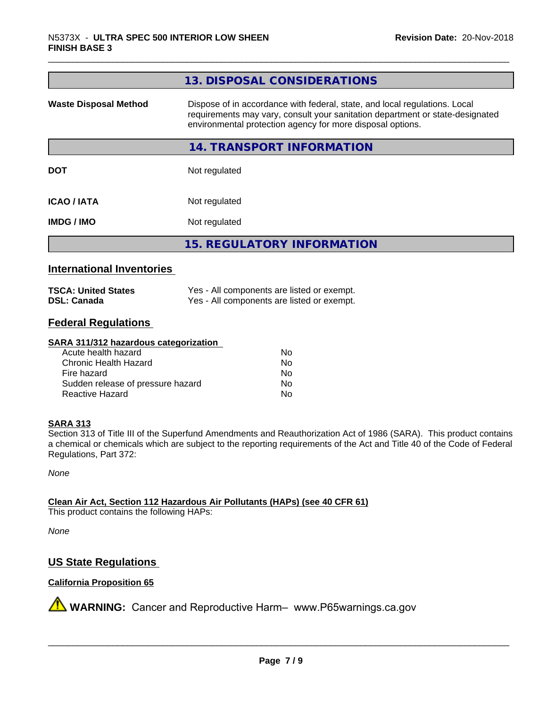|                              | 13. DISPOSAL CONSIDERATIONS                                                                                                                                                                                               |
|------------------------------|---------------------------------------------------------------------------------------------------------------------------------------------------------------------------------------------------------------------------|
| <b>Waste Disposal Method</b> | Dispose of in accordance with federal, state, and local regulations. Local<br>requirements may vary, consult your sanitation department or state-designated<br>environmental protection agency for more disposal options. |
|                              | 14. TRANSPORT INFORMATION                                                                                                                                                                                                 |
| <b>DOT</b>                   | Not regulated                                                                                                                                                                                                             |
| <b>ICAO/IATA</b>             | Not regulated                                                                                                                                                                                                             |
| <b>IMDG / IMO</b>            | Not regulated                                                                                                                                                                                                             |
|                              | <b>15. REGULATORY INFORMATION</b>                                                                                                                                                                                         |

# **International Inventories**

| <b>TSCA: United States</b> | Yes - All components are listed or exempt. |
|----------------------------|--------------------------------------------|
| <b>DSL: Canada</b>         | Yes - All components are listed or exempt. |

# **Federal Regulations**

#### **SARA 311/312 hazardous categorization**

| Acute health hazard               | Nο |
|-----------------------------------|----|
| Chronic Health Hazard             | N٥ |
| Fire hazard                       | N٥ |
| Sudden release of pressure hazard | N٥ |
| Reactive Hazard                   | Nο |

# **SARA 313**

Section 313 of Title III of the Superfund Amendments and Reauthorization Act of 1986 (SARA). This product contains a chemical or chemicals which are subject to the reporting requirements of the Act and Title 40 of the Code of Federal Regulations, Part 372:

*None*

**Clean Air Act,Section 112 Hazardous Air Pollutants (HAPs) (see 40 CFR 61)**

This product contains the following HAPs:

*None*

# **US State Regulations**

# **California Proposition 65**

**A** WARNING: Cancer and Reproductive Harm– www.P65warnings.ca.gov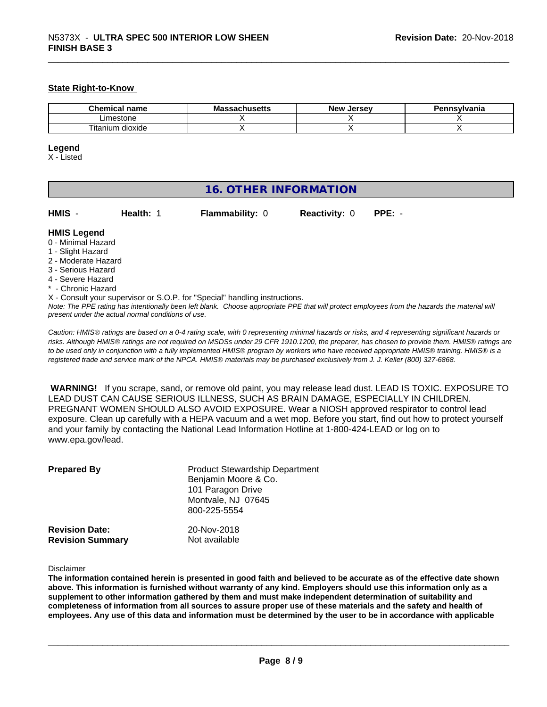# **State Right-to-Know**

| name<br>۱е                 | IVIO<br>пиэспэ | Jersey<br>Ne'<br>æ | svlvania |
|----------------------------|----------------|--------------------|----------|
| ∟imestone                  |                |                    |          |
| ÷.<br>dioxide<br>l itanium |                |                    |          |

#### **Legend**

X - Listed

| <b>16. OTHER INFORMATION</b>                                                                                                                                                                                                                                                              |                        |                      |                                                                                                                                               |  |  |
|-------------------------------------------------------------------------------------------------------------------------------------------------------------------------------------------------------------------------------------------------------------------------------------------|------------------------|----------------------|-----------------------------------------------------------------------------------------------------------------------------------------------|--|--|
| HMIS -<br>Health: 1                                                                                                                                                                                                                                                                       | <b>Flammability: 0</b> | <b>Reactivity: 0</b> | $PPE: -$                                                                                                                                      |  |  |
| <b>HMIS Legend</b><br>0 - Minimal Hazard<br>1 - Slight Hazard<br>2 - Moderate Hazard<br>3 - Serious Hazard<br>4 - Severe Hazard<br>* - Chronic Hazard<br>X - Consult your supervisor or S.O.P. for "Special" handling instructions.<br>present under the actual normal conditions of use. |                        |                      | Note: The PPE rating has intentionally been left blank. Choose appropriate PPE that will protect employees from the hazards the material will |  |  |

*Caution: HMISÒ ratings are based on a 0-4 rating scale, with 0 representing minimal hazards or risks, and 4 representing significant hazards or risks. Although HMISÒ ratings are not required on MSDSs under 29 CFR 1910.1200, the preparer, has chosen to provide them. HMISÒ ratings are to be used only in conjunction with a fully implemented HMISÒ program by workers who have received appropriate HMISÒ training. HMISÒ is a registered trade and service mark of the NPCA. HMISÒ materials may be purchased exclusively from J. J. Keller (800) 327-6868.*

 **WARNING!** If you scrape, sand, or remove old paint, you may release lead dust. LEAD IS TOXIC. EXPOSURE TO LEAD DUST CAN CAUSE SERIOUS ILLNESS, SUCH AS BRAIN DAMAGE, ESPECIALLY IN CHILDREN. PREGNANT WOMEN SHOULD ALSO AVOID EXPOSURE.Wear a NIOSH approved respirator to control lead exposure. Clean up carefully with a HEPA vacuum and a wet mop. Before you start, find out how to protect yourself and your family by contacting the National Lead Information Hotline at 1-800-424-LEAD or log on to www.epa.gov/lead.

| <b>Prepared By</b>      | <b>Product Stewardship Department</b><br>Benjamin Moore & Co.<br>101 Paragon Drive<br>Montvale, NJ 07645<br>800-225-5554 |
|-------------------------|--------------------------------------------------------------------------------------------------------------------------|
| <b>Revision Date:</b>   | 20-Nov-2018                                                                                                              |
| <b>Revision Summary</b> | Not available                                                                                                            |

#### Disclaimer

The information contained herein is presented in good faith and believed to be accurate as of the effective date shown above. This information is furnished without warranty of any kind. Employers should use this information only as a **supplement to other information gathered by them and must make independent determination of suitability and** completeness of information from all sources to assure proper use of these materials and the safety and health of employees. Any use of this data and information must be determined by the user to be in accordance with applicable